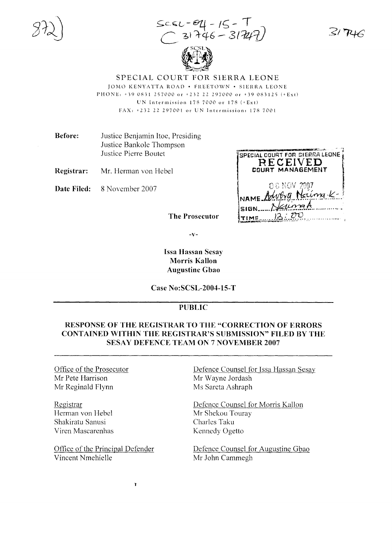$SCSL = 04 - 15 - T$ <br>  $(31746 - 31747)$ 



SPECIAL COURT FOR SIERRA LEONE JOMO KENYATTA ROAD . FREETOWN . SIERRA LEONE PHONE: +39 0831 257000 or +232 22 297000 or +39 083125 (+Ext) UN Intermission  $178,7000$  or  $178 (+Ext)$ FAX: +232 22 297001 or UN Intermission: 178 7001

**Before:** Justice Benjamin Itoe, Presiding Justice Bankole Thompson Justice Pierre Boutet

Registrar: Mr. Herman von Hebel

Date Filed: 8 November 2007

| SPECIAL COURT FOR SIERRA LEONE<br>RECEIVED<br>COURT MANAGEMENT |  |
|----------------------------------------------------------------|--|
| 08 NOV 2007<br>NAME August Nations-K-                          |  |
| Naumak<br><b>SIGN</b><br>12:20<br>TIME                         |  |

.<br>Barangan mula la

 $-\mathbf{V}$ 

The Prosecutor

## **Issa Hassan Sesay Morris Kallon Augustine Gbao**

**Case No:SCSL-2004-15-T** 

## **PUBLIC**

## **RESPONSE OF THE REGISTRAR TO THE "CORRECTION OF ERRORS" CONTAINED WITHIN THE REGISTRAR'S SUBMISSION" FILED BY THE SESAY DEFENCE TEAM ON 7 NOVEMBER 2007**

Office of the Prosecutor Mr Pete Harrison Mr Reginald Flynn

Registrar Herman von Hebel Shakiratu Sanusi Viren Mascarenhas

Office of the Principal Defender Vincent Nmehielle

 $\mathbf{r}$ 

Defence Counsel for Issa Hassan Sesay Mr Wayne Jordash Ms Sareta Ashraph

Defence Counsel for Morris Kallon Mr Shekou Touray Charles Taku Kennedy Ogetto

Defence Counsel for Augustine Gbao Mr John Cammegh